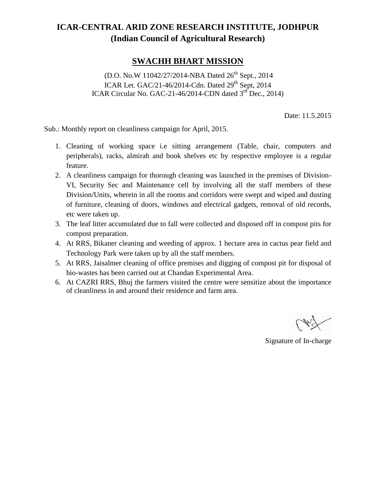## **ICAR-CENTRAL ARID ZONE RESEARCH INSTITUTE, JODHPUR (Indian Council of Agricultural Research)**

## **SWACHH BHART MISSION**

(D.O. No.W 11042/27/2014-NBA Dated 26<sup>th</sup> Sept., 2014) ICAR Let. GAC/21-46/2014-Cdn. Dated  $29<sup>th</sup>$  Sept, 2014 ICAR Circular No. GAC-21-46/2014-CDN dated 3<sup>rd</sup> Dec., 2014)

Date: 11.5.2015

Sub.: Monthly report on cleanliness campaign for April, 2015.

- 1. Cleaning of working space i.e sitting arrangement (Table, chair, computers and peripherals), racks, almirah and book shelves etc by respective employee is a regular feature.
- 2. A cleanliness campaign for thorough cleaning was launched in the premises of Division- VI, Security Sec and Maintenance cell by involving all the staff members of these Division/Units, wherein in all the rooms and corridors were swept and wiped and dusting of furniture, cleaning of doors, windows and electrical gadgets, removal of old records, etc were taken up.
- 3. The leaf litter accumulated due to fall were collected and disposed off in compost pits for compost preparation.
- 4. At RRS, Bikaner cleaning and weeding of approx. 1 hectare area in cactus pear field and Technology Park were taken up by all the staff members.
- 5. At RRS, Jaisalmer cleaning of office premises and digging of compost pit for disposal of bio-wastes has been carried out at Chandan Experimental Area.
- 6. At CAZRI RRS, Bhuj the farmers visited the centre were sensitize about the importance of cleanliness in and around their residence and farm area.

Signature of In-charge